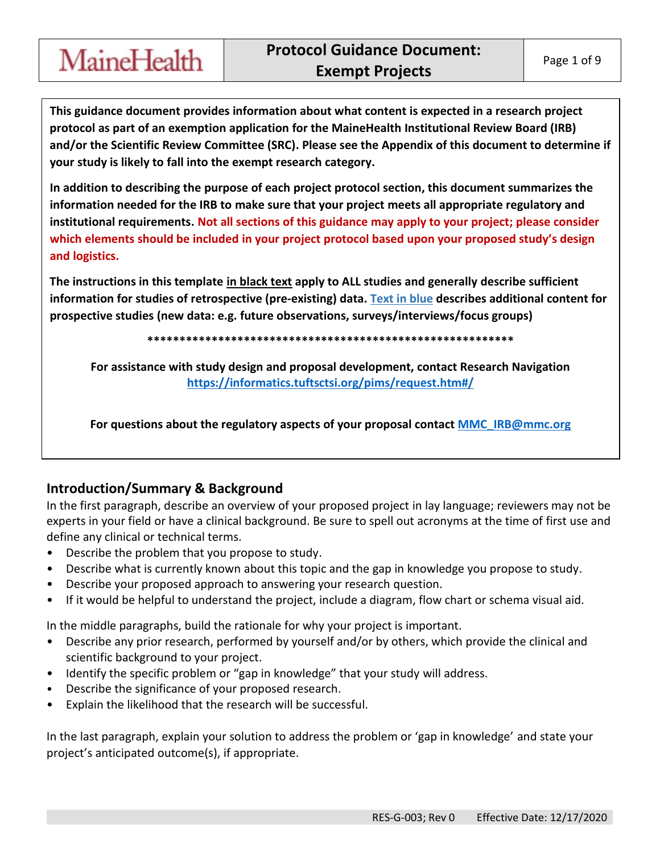**This guidance document provides information about what content is expected in a research project protocol as part of an exemption application for the MaineHealth Institutional Review Board (IRB) and/or the Scientific Review Committee (SRC). Please see the Appendix of this document to determine if your study is likely to fall into the exempt research category.** 

**In addition to describing the purpose of each project protocol section, this document summarizes the information needed for the IRB to make sure that your project meets all appropriate regulatory and institutional requirements. Not all sections of this guidance may apply to your project; please consider which elements should be included in your project protocol based upon your proposed study's design and logistics.** 

**The instructions in this template in black text apply to ALL studies and generally describe sufficient information for studies of retrospective (pre-existing) data. Text in blue describes additional content for prospective studies (new data: e.g. future observations, surveys/interviews/focus groups)** 

**\*\*\*\*\*\*\*\*\*\*\*\*\*\*\*\*\*\*\*\*\*\*\*\*\*\*\*\*\*\*\*\*\*\*\*\*\*\*\*\*\*\*\*\*\*\*\*\*\*\*\*\*\*\*\*\*\*** 

**For assistance with study design and proposal development, contact Research Navigation <https://informatics.tuftsctsi.org/pims/request.htm#/>**

**For questions about the regulatory aspects of your proposal contact [MMC\\_IRB@mmc.org](mailto:MMC_IRB@mmc.org)**

#### **Introduction/Summary & Background**

MaineHealth

In the first paragraph, describe an overview of your proposed project in lay language; reviewers may not be experts in your field or have a clinical background. Be sure to spell out acronyms at the time of first use and define any clinical or technical terms.

- Describe the problem that you propose to study.
- Describe what is currently known about this topic and the gap in knowledge you propose to study.
- Describe your proposed approach to answering your research question.
- If it would be helpful to understand the project, include a diagram, flow chart or schema visual aid.

In the middle paragraphs, build the rationale for why your project is important.

- Describe any prior research, performed by yourself and/or by others, which provide the clinical and scientific background to your project.
- Identify the specific problem or "gap in knowledge" that your study will address.
- Describe the significance of your proposed research.
- Explain the likelihood that the research will be successful.

In the last paragraph, explain your solution to address the problem or 'gap in knowledge' and state your project's anticipated outcome(s), if appropriate.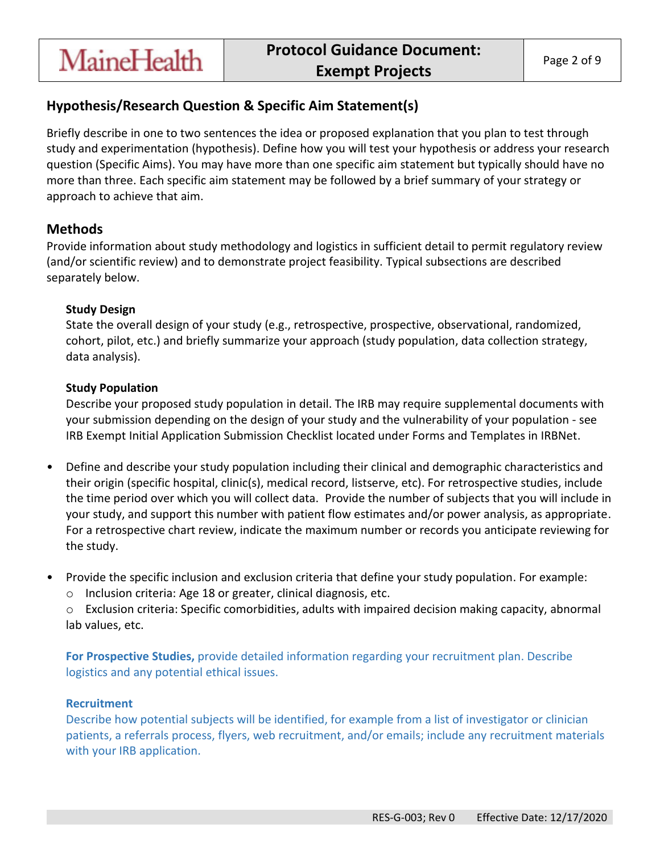## **Hypothesis/Research Question & Specific Aim Statement(s)**

Briefly describe in one to two sentences the idea or proposed explanation that you plan to test through study and experimentation (hypothesis). Define how you will test your hypothesis or address your research question (Specific Aims). You may have more than one specific aim statement but typically should have no more than three. Each specific aim statement may be followed by a brief summary of your strategy or approach to achieve that aim.

### **Methods**

Provide information about study methodology and logistics in sufficient detail to permit regulatory review (and/or scientific review) and to demonstrate project feasibility. Typical subsections are described separately below.

#### **Study Design**

**MaineHealth** 

State the overall design of your study (e.g., retrospective, prospective, observational, randomized, cohort, pilot, etc.) and briefly summarize your approach (study population, data collection strategy, data analysis).

#### **Study Population**

Describe your proposed study population in detail. The IRB may require supplemental documents with your submission depending on the design of your study and the vulnerability of your population - see IRB Exempt Initial Application Submission Checklist located under Forms and Templates in IRBNet.

- Define and describe your study population including their clinical and demographic characteristics and their origin (specific hospital, clinic(s), medical record, listserve, etc). For retrospective studies, include the time period over which you will collect data. Provide the number of subjects that you will include in your study, and support this number with patient flow estimates and/or power analysis, as appropriate. For a retrospective chart review, indicate the maximum number or records you anticipate reviewing for the study.
- Provide the specific inclusion and exclusion criteria that define your study population. For example:
	- o Inclusion criteria: Age 18 or greater, clinical diagnosis, etc.

o Exclusion criteria: Specific comorbidities, adults with impaired decision making capacity, abnormal lab values, etc.

**For Prospective Studies,** provide detailed information regarding your recruitment plan. Describe logistics and any potential ethical issues.

#### **Recruitment**

Describe how potential subjects will be identified, for example from a list of investigator or clinician patients, a referrals process, flyers, web recruitment, and/or emails; include any recruitment materials with your IRB application.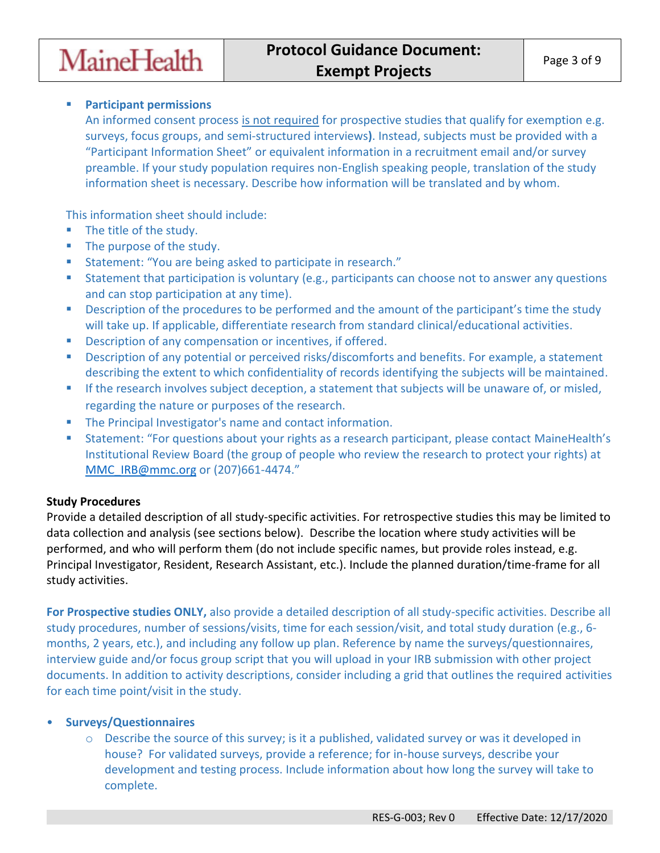

#### **Participant permissions**

An informed consent process is not required for prospective studies that qualify for exemption e.g. surveys, focus groups, and semi-structured interviews**)**. Instead, subjects must be provided with a "Participant Information Sheet" or equivalent information in a recruitment email and/or survey preamble. If your study population requires non-English speaking people, translation of the study information sheet is necessary. Describe how information will be translated and by whom.

This information sheet should include:

- The title of the study.
- The purpose of the study.
- Statement: "You are being asked to participate in research."
- **Statement that participation is voluntary (e.g., participants can choose not to answer any questions** and can stop participation at any time).
- **Description of the procedures to be performed and the amount of the participant's time the study** will take up. If applicable, differentiate research from standard clinical/educational activities.
- Description of any compensation or incentives, if offered.
- **Description of any potential or perceived risks/discomforts and benefits. For example, a statement** describing the extent to which confidentiality of records identifying the subjects will be maintained.
- **If the research involves subject deception, a statement that subjects will be unaware of, or misled,** regarding the nature or purposes of the research.
- **The Principal Investigator's name and contact information.**
- **Statement: "For questions about your rights as a research participant, please contact MaineHealth's** Institutional Review Board (the group of people who review the research to protect your rights) at [MMC\\_IRB@mmc.org](mailto:MMC_IRB@mmc.org) or (207)661-4474."

#### **Study Procedures**

Provide a detailed description of all study-specific activities. For retrospective studies this may be limited to data collection and analysis (see sections below). Describe the location where study activities will be performed, and who will perform them (do not include specific names, but provide roles instead, e.g. Principal Investigator, Resident, Research Assistant, etc.). Include the planned duration/time-frame for all study activities.

**For Prospective studies ONLY,** also provide a detailed description of all study-specific activities. Describe all study procedures, number of sessions/visits, time for each session/visit, and total study duration (e.g., 6 months, 2 years, etc.), and including any follow up plan. Reference by name the surveys/questionnaires, interview guide and/or focus group script that you will upload in your IRB submission with other project documents. In addition to activity descriptions, consider including a grid that outlines the required activities for each time point/visit in the study.

#### • **Surveys/Questionnaires**

 $\circ$  Describe the source of this survey; is it a published, validated survey or was it developed in house? For validated surveys, provide a reference; for in-house surveys, describe your development and testing process. Include information about how long the survey will take to complete.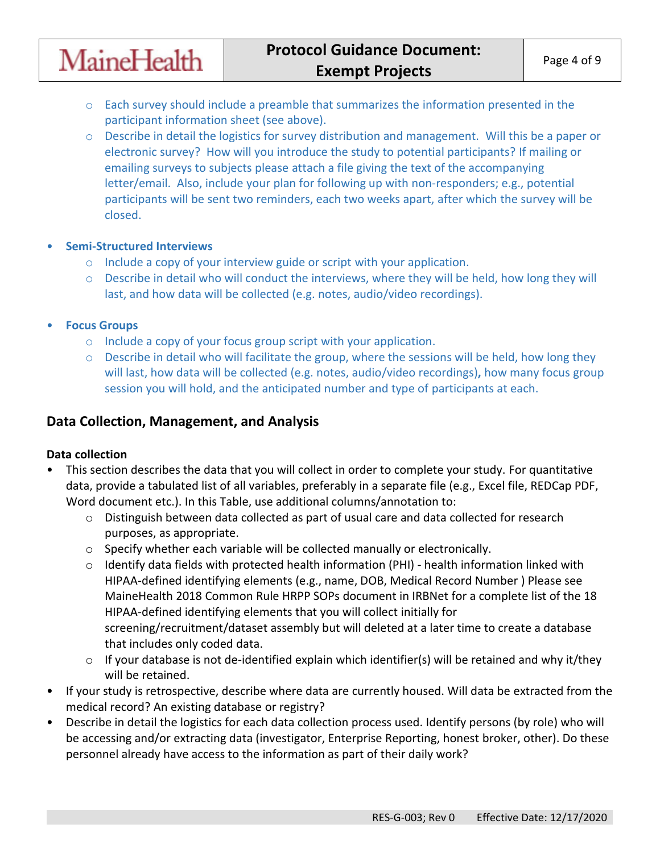- $\circ$  Each survey should include a preamble that summarizes the information presented in the participant information sheet (see above).
- o Describe in detail the logistics for survey distribution and management. Will this be a paper or electronic survey? How will you introduce the study to potential participants? If mailing or emailing surveys to subjects please attach a file giving the text of the accompanying letter/email. Also, include your plan for following up with non-responders; e.g., potential participants will be sent two reminders, each two weeks apart, after which the survey will be closed.
- **Semi-Structured Interviews**

**MaineHealth** 

- o Include a copy of your interview guide or script with your application.
- o Describe in detail who will conduct the interviews, where they will be held, how long they will last, and how data will be collected (e.g. notes, audio/video recordings).
- **Focus Groups** 
	- o Include a copy of your focus group script with your application.
	- $\circ$  Describe in detail who will facilitate the group, where the sessions will be held, how long they will last, how data will be collected (e.g. notes, audio/video recordings)**,** how many focus group session you will hold, and the anticipated number and type of participants at each.

## **Data Collection, Management, and Analysis**

#### **Data collection**

- This section describes the data that you will collect in order to complete your study. For quantitative data, provide a tabulated list of all variables, preferably in a separate file (e.g., Excel file, REDCap PDF, Word document etc.). In this Table, use additional columns/annotation to:
	- o Distinguish between data collected as part of usual care and data collected for research purposes, as appropriate.
	- $\circ$  Specify whether each variable will be collected manually or electronically.
	- $\circ$  Identify data fields with protected health information (PHI) health information linked with HIPAA-defined identifying elements (e.g., name, DOB, Medical Record Number ) Please see MaineHealth 2018 Common Rule HRPP SOPs document in IRBNet for a complete list of the 18 HIPAA-defined identifying elements that you will collect initially for screening/recruitment/dataset assembly but will deleted at a later time to create a database that includes only coded data.
	- $\circ$  If your database is not de-identified explain which identifier(s) will be retained and why it/they will be retained.
- If your study is retrospective, describe where data are currently housed. Will data be extracted from the medical record? An existing database or registry?
- Describe in detail the logistics for each data collection process used. Identify persons (by role) who will be accessing and/or extracting data (investigator, Enterprise Reporting, honest broker, other). Do these personnel already have access to the information as part of their daily work?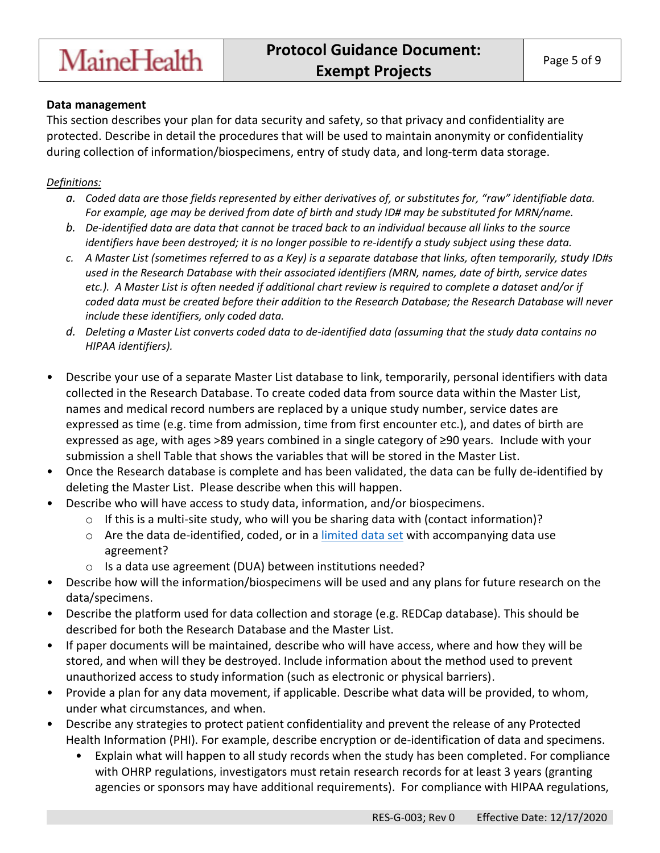## **MaineHealth**

#### **Data management**

This section describes your plan for data security and safety, so that privacy and confidentiality are protected. Describe in detail the procedures that will be used to maintain anonymity or confidentiality during collection of information/biospecimens, entry of study data, and long-term data storage.

#### *Definitions:*

- *a. Coded data are those fields represented by either derivatives of, or substitutes for, "raw" identifiable data. For example, age may be derived from date of birth and study ID# may be substituted for MRN/name.*
- *b. De-identified data are data that cannot be traced back to an individual because all links to the source identifiers have been destroyed; it is no longer possible to re-identify a study subject using these data.*
- *c. A Master List (sometimes referred to as a Key) is a separate database that links, often temporarily, study ID#s used in the Research Database with their associated identifiers (MRN, names, date of birth, service dates etc.). A Master List is often needed if additional chart review is required to complete a dataset and/or if coded data must be created before their addition to the Research Database; the Research Database will never include these identifiers, only coded data.*
- *d. Deleting a Master List converts coded data to de-identified data (assuming that the study data contains no HIPAA identifiers).*
- Describe your use of a separate Master List database to link, temporarily, personal identifiers with data collected in the Research Database. To create coded data from source data within the Master List, names and medical record numbers are replaced by a unique study number, service dates are expressed as time (e.g. time from admission, time from first encounter etc.), and dates of birth are expressed as age, with ages >89 years combined in a single category of ≥90 years. Include with your submission a shell Table that shows the variables that will be stored in the Master List.
- Once the Research database is complete and has been validated, the data can be fully de-identified by deleting the Master List. Please describe when this will happen.
- Describe who will have access to study data, information, and/or biospecimens.
	- $\circ$  If this is a multi-site study, who will you be sharing data with (contact information)?
	- o Are the data de-identified, coded, or in a [limited data set](https://privacyruleandresearch.nih.gov/pr_08.asp) with accompanying data use agreement?
	- o Is a data use agreement (DUA) between institutions needed?
- Describe how will the information/biospecimens will be used and any plans for future research on the data/specimens.
- Describe the platform used for data collection and storage (e.g. REDCap database). This should be described for both the Research Database and the Master List.
- If paper documents will be maintained, describe who will have access, where and how they will be stored, and when will they be destroyed. Include information about the method used to prevent unauthorized access to study information (such as electronic or physical barriers).
- Provide a plan for any data movement, if applicable. Describe what data will be provided, to whom, under what circumstances, and when.
- Describe any strategies to protect patient confidentiality and prevent the release of any Protected Health Information (PHI). For example, describe encryption or de-identification of data and specimens.
	- Explain what will happen to all study records when the study has been completed. For compliance with OHRP regulations, investigators must retain research records for at least 3 years (granting agencies or sponsors may have additional requirements). For compliance with HIPAA regulations,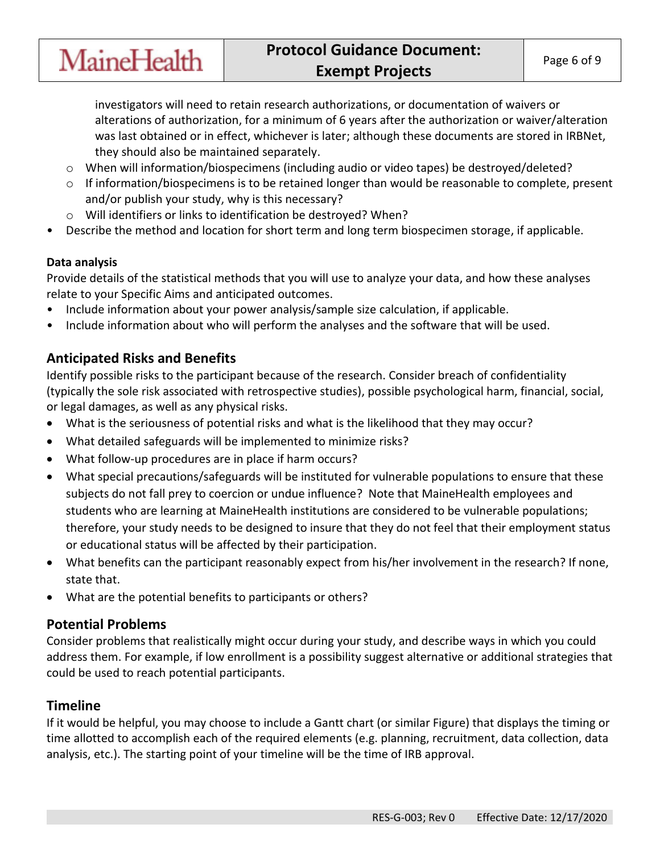investigators will need to retain research authorizations, or documentation of waivers or alterations of authorization, for a minimum of 6 years after the authorization or waiver/alteration was last obtained or in effect, whichever is later; although these documents are stored in IRBNet, they should also be maintained separately.

- o When will information/biospecimens (including audio or video tapes) be destroyed/deleted?
- o If information/biospecimens is to be retained longer than would be reasonable to complete, present and/or publish your study, why is this necessary?
- o Will identifiers or links to identification be destroyed? When?
- Describe the method and location for short term and long term biospecimen storage, if applicable.

#### **Data analysis**

Provide details of the statistical methods that you will use to analyze your data, and how these analyses relate to your Specific Aims and anticipated outcomes.

- Include information about your power analysis/sample size calculation, if applicable.
- Include information about who will perform the analyses and the software that will be used.

## **Anticipated Risks and Benefits**

**MaineHealth** 

Identify possible risks to the participant because of the research. Consider breach of confidentiality (typically the sole risk associated with retrospective studies), possible psychological harm, financial, social, or legal damages, as well as any physical risks.

- What is the seriousness of potential risks and what is the likelihood that they may occur?
- What detailed safeguards will be implemented to minimize risks?
- What follow-up procedures are in place if harm occurs?
- What special precautions/safeguards will be instituted for vulnerable populations to ensure that these subjects do not fall prey to coercion or undue influence? Note that MaineHealth employees and students who are learning at MaineHealth institutions are considered to be vulnerable populations; therefore, your study needs to be designed to insure that they do not feel that their employment status or educational status will be affected by their participation.
- What benefits can the participant reasonably expect from his/her involvement in the research? If none, state that.
- What are the potential benefits to participants or others?

## **Potential Problems**

Consider problems that realistically might occur during your study, and describe ways in which you could address them. For example, if low enrollment is a possibility suggest alternative or additional strategies that could be used to reach potential participants.

## **Timeline**

If it would be helpful, you may choose to include a Gantt chart (or similar Figure) that displays the timing or time allotted to accomplish each of the required elements (e.g. planning, recruitment, data collection, data analysis, etc.). The starting point of your timeline will be the time of IRB approval.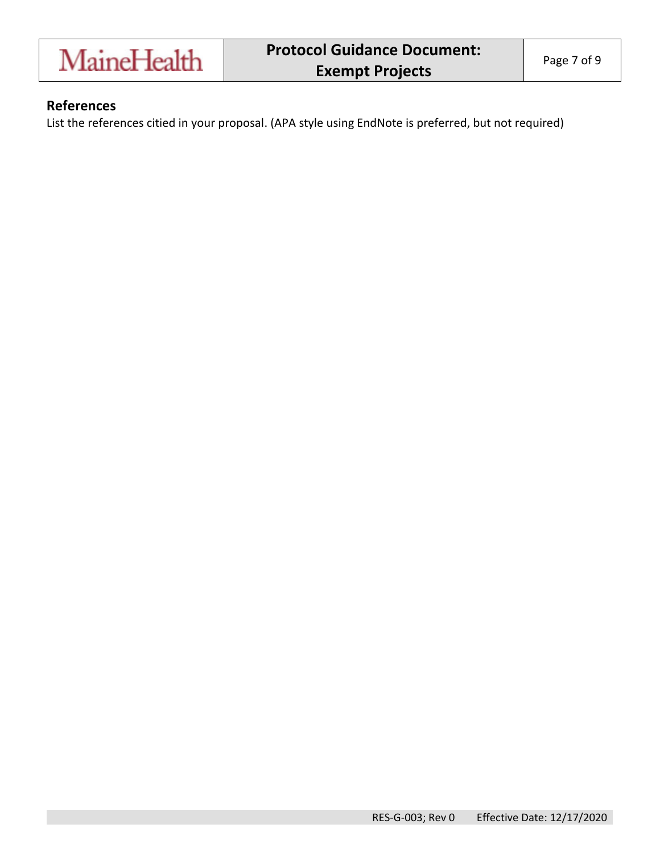

#### **References**

List the references citied in your proposal. (APA style using EndNote is preferred, but not required)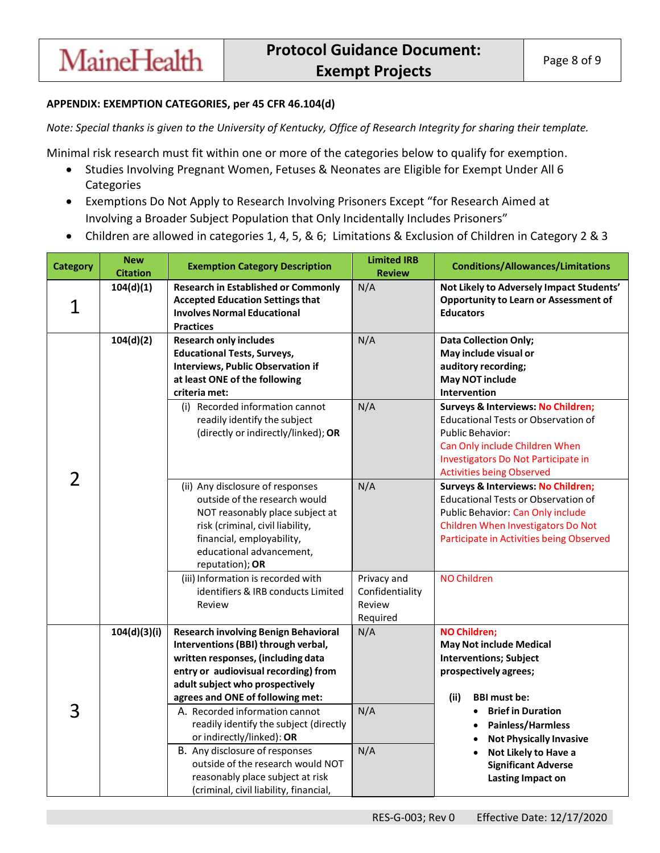#### **APPENDIX: EXEMPTION CATEGORIES, per 45 CFR 46.104(d)**

**MaineHealth** 

*Note: Special thanks is given to the University of Kentucky, Office of Research Integrity for sharing their template.* 

Minimal risk research must fit within one or more of the categories below to qualify for exemption.

- Studies Involving Pregnant Women, Fetuses & Neonates are Eligible for Exempt Under All 6 **Categories**
- Exemptions Do Not Apply to Research Involving Prisoners Except "for Research Aimed at Involving a Broader Subject Population that Only Incidentally Includes Prisoners"
- Children are allowed in categories 1, 4, 5, & 6; Limitations & Exclusion of Children in Category 2 & 3

| <b>Category</b> | <b>New</b><br><b>Citation</b> | <b>Exemption Category Description</b>                                                                                                                                                                                                                      | <b>Limited IRB</b><br><b>Review</b>                  | <b>Conditions/Allowances/Limitations</b>                                                                                                                                                                                 |
|-----------------|-------------------------------|------------------------------------------------------------------------------------------------------------------------------------------------------------------------------------------------------------------------------------------------------------|------------------------------------------------------|--------------------------------------------------------------------------------------------------------------------------------------------------------------------------------------------------------------------------|
| 1               | 104(d)(1)                     | <b>Research in Established or Commonly</b><br><b>Accepted Education Settings that</b><br><b>Involves Normal Educational</b><br><b>Practices</b>                                                                                                            | N/A                                                  | Not Likely to Adversely Impact Students'<br><b>Opportunity to Learn or Assessment of</b><br><b>Educators</b>                                                                                                             |
|                 | 104(d)(2)                     | <b>Research only includes</b><br><b>Educational Tests, Surveys,</b><br><b>Interviews, Public Observation if</b><br>at least ONE of the following<br>criteria met:                                                                                          | N/A                                                  | <b>Data Collection Only;</b><br>May include visual or<br>auditory recording;<br><b>May NOT include</b><br><b>Intervention</b>                                                                                            |
| 2               |                               | (i) Recorded information cannot<br>readily identify the subject<br>(directly or indirectly/linked); OR                                                                                                                                                     | N/A                                                  | Surveys & Interviews: No Children;<br><b>Educational Tests or Observation of</b><br><b>Public Behavior:</b><br>Can Only include Children When<br>Investigators Do Not Participate in<br><b>Activities being Observed</b> |
|                 |                               | (ii) Any disclosure of responses<br>outside of the research would<br>NOT reasonably place subject at<br>risk (criminal, civil liability,<br>financial, employability,<br>educational advancement,<br>reputation); OR                                       | N/A                                                  | <b>Surveys &amp; Interviews: No Children;</b><br><b>Educational Tests or Observation of</b><br>Public Behavior: Can Only include<br>Children When Investigators Do Not<br>Participate in Activities being Observed       |
|                 |                               | (iii) Information is recorded with<br>identifiers & IRB conducts Limited<br>Review                                                                                                                                                                         | Privacy and<br>Confidentiality<br>Review<br>Required | <b>NO Children</b>                                                                                                                                                                                                       |
|                 | 104(d)(3)(i)                  | Research involving Benign Behavioral<br>Interventions (BBI) through verbal,<br>written responses, (including data<br>entry or audiovisual recording) from<br>adult subject who prospectively<br>agrees and ONE of following met:                           | N/A                                                  | <b>NO Children;</b><br><b>May Not include Medical</b><br><b>Interventions; Subject</b><br>prospectively agrees;<br>(ii)<br><b>BBI must be:</b>                                                                           |
| 3               |                               | A. Recorded information cannot<br>readily identify the subject (directly<br>or indirectly/linked): OR<br>B. Any disclosure of responses<br>outside of the research would NOT<br>reasonably place subject at risk<br>(criminal, civil liability, financial, | N/A<br>N/A                                           | <b>Brief in Duration</b><br>$\bullet$<br>Painless/Harmless<br><b>Not Physically Invasive</b><br>Not Likely to Have a<br><b>Significant Adverse</b><br><b>Lasting Impact on</b>                                           |